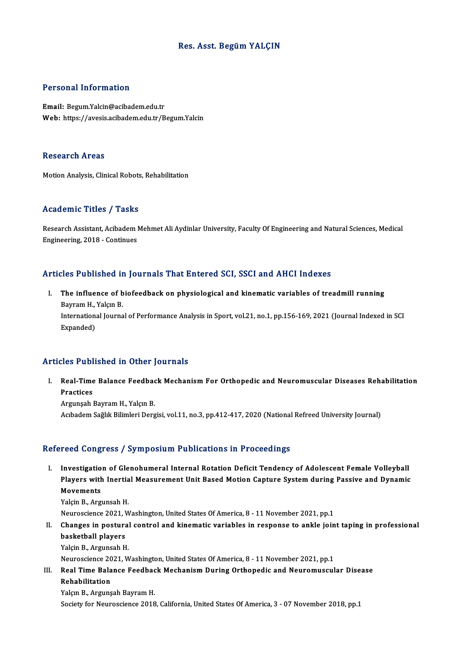# Res. Asst. BegümYALÇIN

### Personal Information

Email: Begum.Yalcin@acibadem.edu.tr Web: https://avesis.acibadem.edu.tr/Begum.Yalcin

#### **Research Areas**

Motion Analysis, Clinical Robots, Rehabilitation

### Academic Titles / Tasks

Academic Titles / Tasks<br>Research Assistant, Acibadem Mehmet Ali Aydinlar University, Faculty Of Engineering and Natural Sciences, Medical Engineering, 2018 - Continues<br>Engineering, 2018 - Continues

# Articles Published in Journals That Entered SCI, SSCI and AHCI Indexes

rticles Published in Journals That Entered SCI, SSCI and AHCI Indexes<br>I. The influence of biofeedback on physiological and kinematic variables of treadmill running<br>Payman H. Valan P. The influence of b<br>Bayram H., Yalçın B.<br>International Iourna The influence of biofeedback on physiological and kinematic variables of treadmill running<br>Bayram H., Yalçın B.<br>International Journal of Performance Analysis in Sport, vol.21, no.1, pp.156-169, 2021 (Journal Indexed in SCI Bayram H.,<br>Internation:<br>Expanded)

# Articles Published in Other Journals

rticles Published in Other Journals<br>I. Real-Time Balance Feedback Mechanism For Orthopedic and Neuromuscular Diseases Rehabilitation<br>Reactices Real-Time<br>Practices<br>Argunaab l Real-Time Balance Feedbac<br>Practices<br>Argunşah Bayram H., Yalçın B.<br>Askadem Seğlik Bilimleri Dera

Practices<br>Argunşah Bayram H., Yalçın B.<br>Acıbadem Sağlık Bilimleri Dergisi, vol.11, no.3, pp.412-417, 2020 (National Refreed University Journal)

#### Refereed Congress / Symposium Publications in Proceedings

efereed Congress / Symposium Publications in Proceedings<br>I. Investigation of Glenohumeral Internal Rotation Deficit Tendency of Adolescent Female Volleyball<br>Players with Inertial Measurement Unit Pased Metion Centure Syste Pour Bongross / By mpostum I ustroutions in Troccoumgs<br>Investigation of Glenohumeral Internal Rotation Deficit Tendency of Adolescent Female Volleyball<br>Players with Inertial Measurement Unit Based Motion Capture System dur Investigatio<br>Players with<br>Movements<br><sup>Volgin B</sup>. Arg Players with Inertial Measurement Unit Based Motion Capture System during Passive and Dynamic<br>Movements<br>Yalçin B., Argunsah H. Movements<br>Yalçin B., Argunsah H.<br>Neuroscience 2021, Washington, United States Of America, 8 - 11 November 2021, pp.1<br>Changes in nostural sentrel and kinomatis variables in response to ankle join

Yalçin B., Argunsah H.<br>Neuroscience 2021, Washington, United States Of America, 8 - 11 November 2021, pp.1<br>II. Changes in postural control and kinematic variables in response to ankle joint taping in professional<br>hasketbal Neuroscience 2021, V<br>Changes in postura<br>basketball players<br>Vakin B. Argungsh H Changes in postural<br>basketball players<br>Yalçin B., Argunsah H.<br>Navressionse 2021 M basketball players<br>Yalçin B., Argunsah H.<br>Neuroscience 2021, Washington, United States Of America, 8 - 11 November 2021, pp.1<br>Real Time Balanes Feedbask Meshanism During Orthonodis and Nouromuseul

Yalçin B., Argunsah H.<br>Neuroscience 2021, Washington, United States Of America, 8 - 11 November 2021, pp.1<br>III. Real Time Balance Feedback Mechanism During Orthopedic and Neuromuscular Disease<br>Rehabilitation Neuroscience 20<br>Real Time Bala<br>Rehabilitation<br>Velen B. Argune Real Time Balance Feedbac<br>Rehabilitation<br>Yalçın B., Argunşah Bayram H.<br>Segisty for Neunosgiance 2018

Rehabilitation<br>Yalçın B., Argunşah Bayram H.<br>Society for Neuroscience 2018, California, United States Of America, 3 - 07 November 2018, pp.1